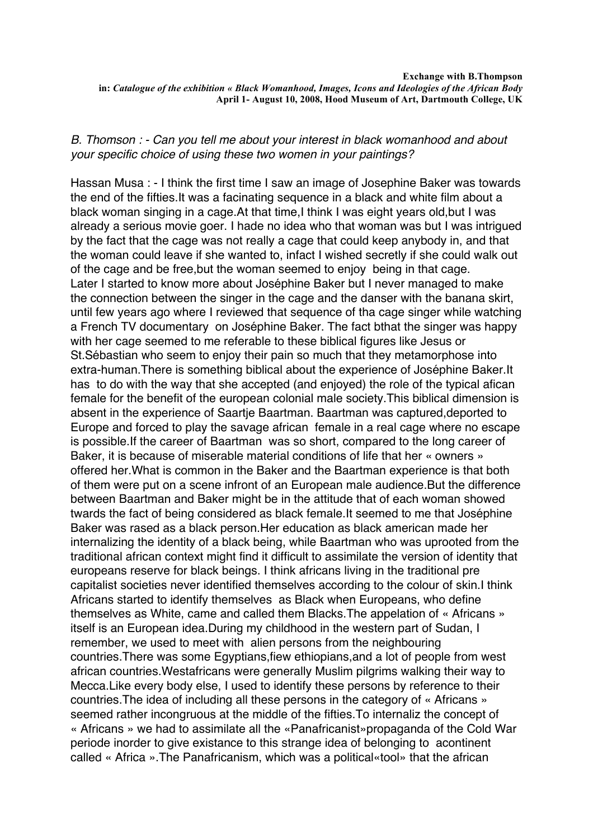## *B. Thomson : - Can you tell me about your interest in black womanhood and about your specific choice of using these two women in your paintings?*

Hassan Musa : - I think the first time I saw an image of Josephine Baker was towards the end of the fifties.It was a facinating sequence in a black and white film about a black woman singing in a cage.At that time,I think I was eight years old,but I was already a serious movie goer. I hade no idea who that woman was but I was intrigued by the fact that the cage was not really a cage that could keep anybody in, and that the woman could leave if she wanted to, infact I wished secretly if she could walk out of the cage and be free,but the woman seemed to enjoy being in that cage. Later I started to know more about Joséphine Baker but I never managed to make the connection between the singer in the cage and the danser with the banana skirt, until few years ago where I reviewed that sequence of tha cage singer while watching a French TV documentary on Joséphine Baker. The fact bthat the singer was happy with her cage seemed to me referable to these biblical figures like Jesus or St.Sébastian who seem to enjoy their pain so much that they metamorphose into extra-human.There is something biblical about the experience of Joséphine Baker.It has to do with the way that she accepted (and enjoyed) the role of the typical afican female for the benefit of the european colonial male society.This biblical dimension is absent in the experience of Saartje Baartman. Baartman was captured,deported to Europe and forced to play the savage african female in a real cage where no escape is possible.If the career of Baartman was so short, compared to the long career of Baker, it is because of miserable material conditions of life that her « owners » offered her.What is common in the Baker and the Baartman experience is that both of them were put on a scene infront of an European male audience.But the difference between Baartman and Baker might be in the attitude that of each woman showed twards the fact of being considered as black female.It seemed to me that Joséphine Baker was rased as a black person.Her education as black american made her internalizing the identity of a black being, while Baartman who was uprooted from the traditional african context might find it difficult to assimilate the version of identity that europeans reserve for black beings. I think africans living in the traditional pre capitalist societies never identified themselves according to the colour of skin.I think Africans started to identify themselves as Black when Europeans, who define themselves as White, came and called them Blacks.The appelation of « Africans » itself is an European idea.During my childhood in the western part of Sudan, I remember, we used to meet with alien persons from the neighbouring countries.There was some Egyptians,fiew ethiopians,and a lot of people from west african countries.Westafricans were generally Muslim pilgrims walking their way to Mecca.Like every body else, I used to identify these persons by reference to their countries.The idea of including all these persons in the category of « Africans » seemed rather incongruous at the middle of the fifties.To internaliz the concept of « Africans » we had to assimilate all the «Panafricanist»propaganda of the Cold War periode inorder to give existance to this strange idea of belonging to acontinent called « Africa ».The Panafricanism, which was a political«tool» that the african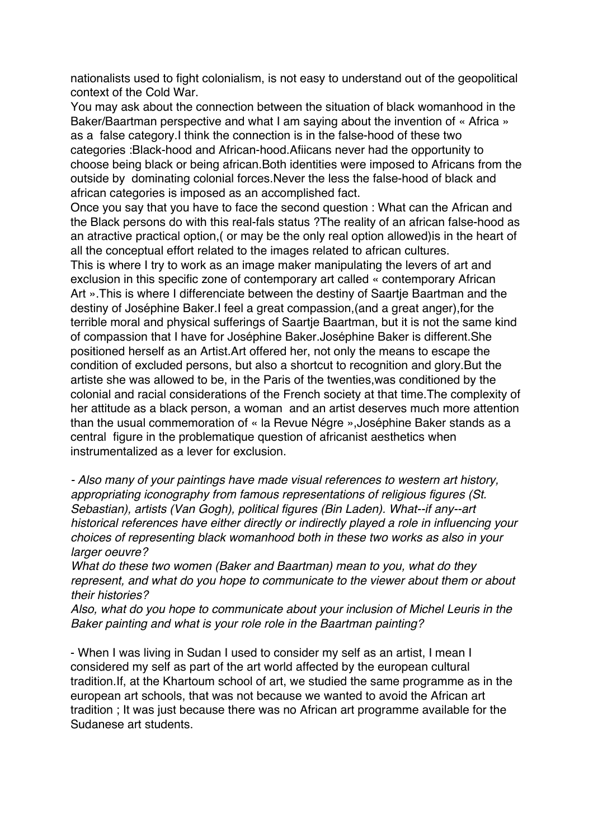nationalists used to fight colonialism, is not easy to understand out of the geopolitical context of the Cold War.

You may ask about the connection between the situation of black womanhood in the Baker/Baartman perspective and what I am saying about the invention of « Africa » as a false category.I think the connection is in the false-hood of these two categories :Black-hood and African-hood.Afiicans never had the opportunity to choose being black or being african.Both identities were imposed to Africans from the outside by dominating colonial forces.Never the less the false-hood of black and african categories is imposed as an accomplished fact.

Once you say that you have to face the second question : What can the African and the Black persons do with this real-fals status ?The reality of an african false-hood as an atractive practical option,( or may be the only real option allowed)is in the heart of all the conceptual effort related to the images related to african cultures.

This is where I try to work as an image maker manipulating the levers of art and exclusion in this specific zone of contemporary art called « contemporary African Art ».This is where I differenciate between the destiny of Saartje Baartman and the destiny of Joséphine Baker.I feel a great compassion,(and a great anger),for the terrible moral and physical sufferings of Saartje Baartman, but it is not the same kind of compassion that I have for Joséphine Baker.Joséphine Baker is different.She positioned herself as an Artist.Art offered her, not only the means to escape the condition of excluded persons, but also a shortcut to recognition and glory.But the artiste she was allowed to be, in the Paris of the twenties,was conditioned by the colonial and racial considerations of the French society at that time.The complexity of her attitude as a black person, a woman and an artist deserves much more attention than the usual commemoration of « la Revue Négre »,Joséphine Baker stands as a central figure in the problematique question of africanist aesthetics when instrumentalized as a lever for exclusion.

*- Also many of your paintings have made visual references to western art history, appropriating iconography from famous representations of religious figures (St. Sebastian), artists (Van Gogh), political figures (Bin Laden). What--if any--art historical references have either directly or indirectly played a role in influencing your choices of representing black womanhood both in these two works as also in your larger oeuvre?*

*What do these two women (Baker and Baartman) mean to you, what do they represent, and what do you hope to communicate to the viewer about them or about their histories?*

*Also, what do you hope to communicate about your inclusion of Michel Leuris in the Baker painting and what is your role role in the Baartman painting?*

- When I was living in Sudan I used to consider my self as an artist, I mean I considered my self as part of the art world affected by the european cultural tradition.If, at the Khartoum school of art, we studied the same programme as in the european art schools, that was not because we wanted to avoid the African art tradition ; It was just because there was no African art programme available for the Sudanese art students.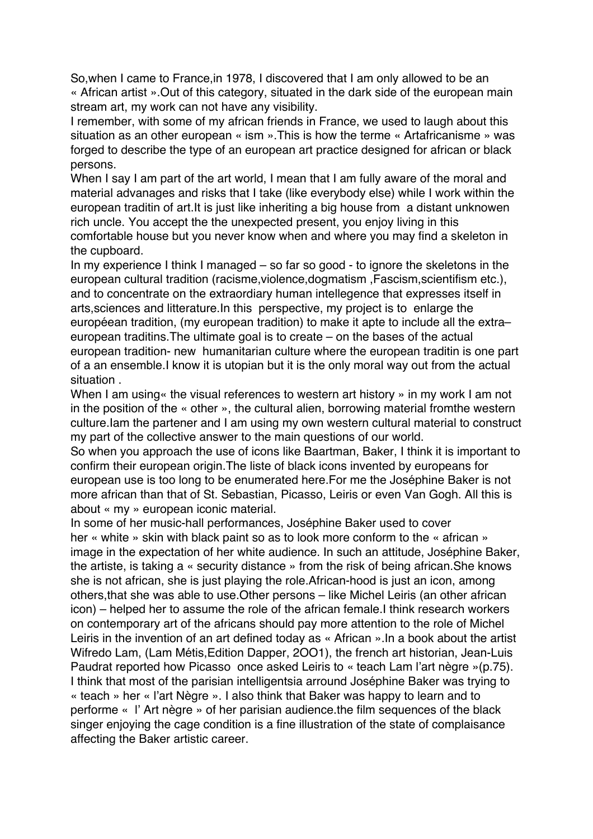So,when I came to France,in 1978, I discovered that I am only allowed to be an « African artist ».Out of this category, situated in the dark side of the european main stream art, my work can not have any visibility.

I remember, with some of my african friends in France, we used to laugh about this situation as an other european « ism ».This is how the terme « Artafricanisme » was forged to describe the type of an european art practice designed for african or black persons.

When I say I am part of the art world, I mean that I am fully aware of the moral and material advanages and risks that I take (like everybody else) while I work within the european traditin of art.It is just like inheriting a big house from a distant unknowen rich uncle. You accept the the unexpected present, you enjoy living in this comfortable house but you never know when and where you may find a skeleton in the cupboard.

In my experience I think I managed – so far so good - to ignore the skeletons in the european cultural tradition (racisme,violence,dogmatism ,Fascism,scientifism etc.), and to concentrate on the extraordiary human intellegence that expresses itself in arts,sciences and litterature.In this perspective, my project is to enlarge the européean tradition, (my european tradition) to make it apte to include all the extra– european traditins.The ultimate goal is to create – on the bases of the actual european tradition- new humanitarian culture where the european traditin is one part of a an ensemble.I know it is utopian but it is the only moral way out from the actual situation .

When I am using it the visual references to western art history » in my work I am not in the position of the « other », the cultural alien, borrowing material fromthe western culture.Iam the partener and I am using my own western cultural material to construct my part of the collective answer to the main questions of our world.

So when you approach the use of icons like Baartman, Baker, I think it is important to confirm their european origin.The liste of black icons invented by europeans for european use is too long to be enumerated here.For me the Joséphine Baker is not more african than that of St. Sebastian, Picasso, Leiris or even Van Gogh. All this is about « my » european iconic material.

In some of her music-hall performances, Joséphine Baker used to cover her « white » skin with black paint so as to look more conform to the « african » image in the expectation of her white audience. In such an attitude, Joséphine Baker, the artiste, is taking a « security distance » from the risk of being african.She knows she is not african, she is just playing the role.African-hood is just an icon, among others,that she was able to use.Other persons – like Michel Leiris (an other african icon) – helped her to assume the role of the african female.I think research workers on contemporary art of the africans should pay more attention to the role of Michel Leiris in the invention of an art defined today as « African ».In a book about the artist Wifredo Lam, (Lam Métis,Edition Dapper, 2OO1), the french art historian, Jean-Luis Paudrat reported how Picasso once asked Leiris to « teach Lam l'art nègre »(p.75). I think that most of the parisian intelligentsia arround Joséphine Baker was trying to « teach » her « l'art Nègre ». I also think that Baker was happy to learn and to performe « l' Art nègre » of her parisian audience.the film sequences of the black singer enjoying the cage condition is a fine illustration of the state of complaisance affecting the Baker artistic career.